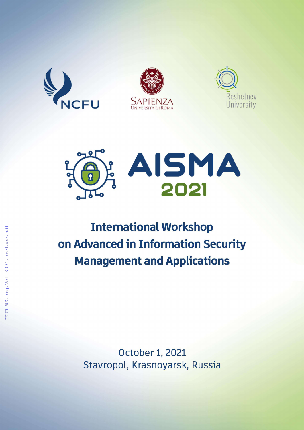







# **International Workshop** on Advanced in Information Security **Management and Applications**

October 1, 2021 Stavropol, Krasnoyarsk, Russia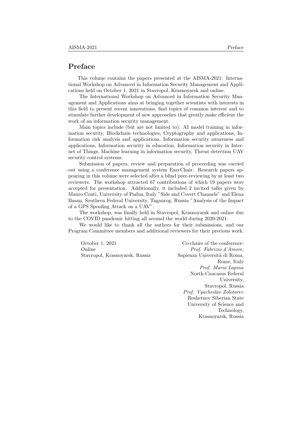# Preface

This volume contains the papers presented at the AISMA-2021: International Workshop on Advanced in Information Security Management and Applications held on October 1, 2021 in Stavropol, Krasnoyarsk and online.

The International Workshop on Advanced in Information Security Management and Applications aims at bringing together scientists with interests in this field to present recent innovations, find topics of common interest and to stimulate further development of new approaches that greatly make efficient the work of an information security management.

Main topics include (but are not limited to): AI model training in information security, Blockchain technologies, Cryptography and applications, Information risk analysis and applications, Information security awareness and applications, Information security in education, Information security in Internet of Things, Machine learning in information security, Threat detection UAV security control systems.

Submission of papers, review and preparation of proceeding was carried out using a conference management system EasyChair. Research papers appearing in this volume were selected after a blind peer-reviewing by at least two reviewers. The workshop attracted 67 contributions of which 19 papers were accepted for presentation. Additionally, it included 2 invited talks given by Mauro Conti, University of Padua, Italy "Side and Covert Channels" and Elena Basan, Southern Federal University, Taganrog, Russia "Analysis of the Impact of a GPS Spoofing Attack on a UAV".

The workshop, was finally held in Stavropol, Krasnoyarsk and online due to the COVID pandemic hitting all around the world during 2020-2021.

We would like to thank all the authors for their submissions, and our Program Committee members and additional reviewers for their precious work.

October 1, 2021 Online Stavropol, Krasnoyarsk, Russia

Co-chairs of the conference: Prof. Fabrizio d'Amore, Sapienza Universit`a di Roma, Rome, Italy Prof. Maria Lapina North-Caucasus Federal University, Stavropol, Russia Prof. Vyacheslav Zolotarev Reshetnev Siberian State University of Science and Technology, Krasnoyarsk, Russia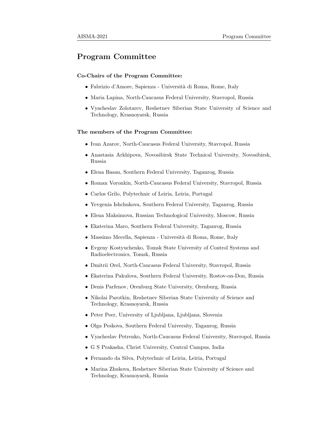# Program Committee

#### Co-Chairs of the Program Committee:

- Fabrizio d'Amore, Sapienza Università di Roma, Rome, Italy
- Maria Lapina, North-Caucasus Federal University, Stavropol, Russia
- Vyacheslav Zolotarev, Reshetnev Siberian State University of Science and Technology, Krasnoyarsk, Russia

#### The members of the Program Committee:

- Ivan Azarov, North-Caucasus Federal University, Stavropol, Russia
- Anastasia Arkhipova, Novosibirsk State Technical University, Novosibirsk, Russia
- Elena Basan, Southern Federal University, Taganrog, Russia
- Roman Voronkin, North-Caucasus Federal University, Stavropol, Russia
- Carlos Grilo, Polytechnic of Leiria, Leiria, Portugal
- Yevgenia Ishchukova, Southern Federal University, Taganrog, Russia
- Elena Maksimova, Russian Technological University, Moscow, Russia
- Ekaterina Maro, Southern Federal University, Taganrog, Russia
- Massimo Mecella, Sapienza Università di Roma, Rome, Italy
- Evgeny Kostyuchenko, Tomsk State University of Control Systems and Radioelectronics, Tomsk, Russia
- Dmitrii Orel, North-Caucasus Federal University, Stavropol, Russia
- Ekaterina Pakulova, Southern Federal University, Rostov-on-Don, Russia
- Denis Parfenov, Orenburg State University, Orenburg, Russia
- Nikolai Parotkin, Reshetnev Siberian State University of Science and Technology, Krasnoyarsk, Russia
- Peter Peer, University of Ljubljana, Ljubljana, Slovenia
- Olga Peskova, Southern Federal University, Taganrog, Russia
- Vyacheslav Petrenko, North-Caucasus Federal University, Stavropol, Russia
- G S Prakasha, Christ University, Central Campus, India
- Fernando da Silva, Polytechnic of Leiria, Leiria, Portugal
- Marina Zhukova, Reshetnev Siberian State University of Science and Technology, Krasnoyarsk, Russia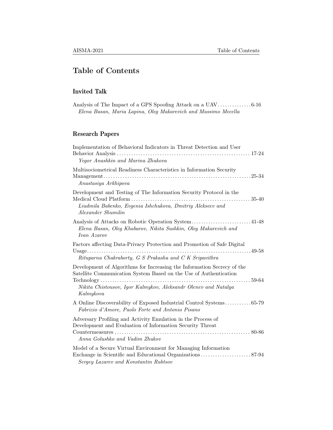# Table of Contents

# Invited Talk

|  | Elena Basan, Maria Lapina, Oleg Makarevich and Massimo Mecella |  |
|--|----------------------------------------------------------------|--|

# Research Papers

| Implementation of Behavioral Indicators in Threat Detection and User<br>Yegor Anashkin and Marina Zhukova                                                                                                                   |
|-----------------------------------------------------------------------------------------------------------------------------------------------------------------------------------------------------------------------------|
| Multisociometrical Readiness Characteristics in Information Security<br>Anastasiya Arkhipova                                                                                                                                |
| Development and Testing of The Information Security Protocol in the<br>Liudmila Babenko, Evgenia Ishchukova, Dmitriy Alekseev and<br>Alexander Shumilin                                                                     |
| Elena Basan, Oleg Khabarov, Nikita Sushkin, Oleg Makarevich and<br>Ivan Azarov                                                                                                                                              |
| Factors affecting Data-Privacy Protection and Promotion of Safe Digital<br>Rituparna Chakraborty, G S Prakasha and C K Sripavithra                                                                                          |
| Development of Algorithms for Increasing the Information Secrecy of the<br>Satellite Communication System Based on the Use of Authentication<br>Nikita Chistousov, Igor Kalmykov, Aleksandr Olenev and Natalya<br>Kalmykova |
| A Online Discoverability of Exposed Industrial Control Systems65-79<br>Fabrizio d'Amore, Paolo Forte and Antonio Pisano                                                                                                     |
| Adversary Profiling and Activity Emulation in the Process of<br>Development and Evaluation of Information Security Threat<br>Anna Golushko and Vadim Zhukov                                                                 |
| Model of a Secure Virtual Environment for Managing Information<br>Sergey Lazarev and Konstantin Rubtsov                                                                                                                     |